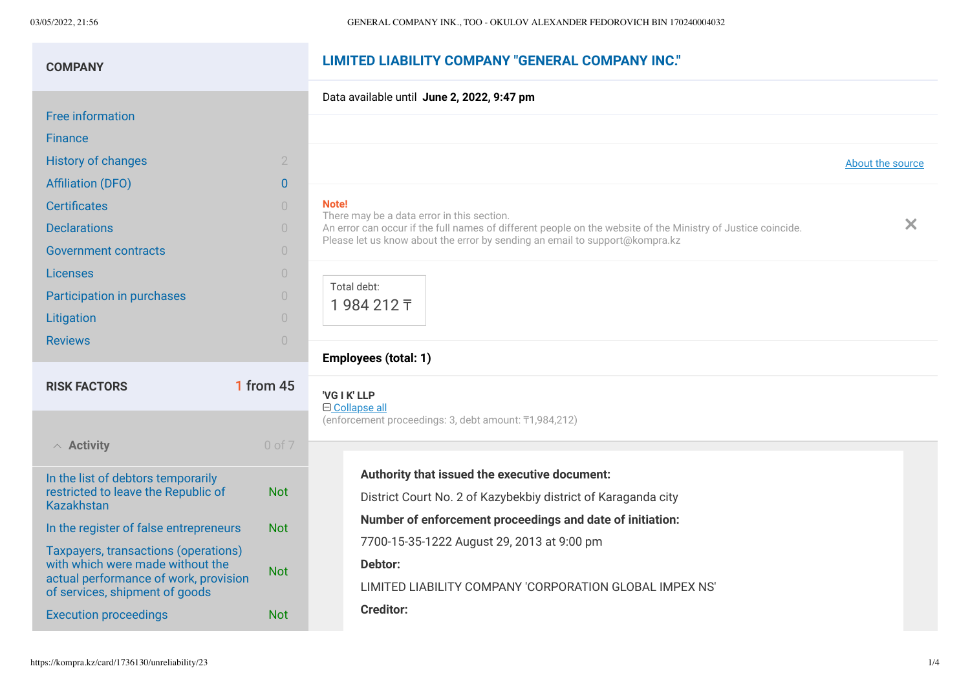# **LIMITED LIABILITY COMPANY "GENERAL COMPANY INC." COMPANY**

#### Data available until **June 2, 2022, 9:47 pm** [Free information](https://kompra.kz/card/1736130/report) **[Finance](https://kompra.kz/card/1736130/taxes)** [History of changes](https://kompra.kz/card/1736130/history) **2** 2 source [Affiliation \(DFO\)](https://kompra.kz/card/1736130/affiliations-dfo?type=ul) 0 **No<br>Th [Certificates](https://kompra.kz/card/1736130/cert)** 0 There may be a data error in this section.  $\boldsymbol{\times}$ **[Declarations](https://kompra.kz/card/1736130/declarations)** 0 An error can occur if the full names of different people on the website of the Ministry of Justice coincide. Please let us know about the error by sending an email to [support@kompra.kz](mailto:support@kompra.kz) [Government contracts](https://kompra.kz/card/1736130/contract) and the contracts of the contracts of the contracts of the contracts of the contracts of the contracts of the contracts of the contracts of the contracts of the contracts of the contracts of the contra [Licenses](https://kompra.kz/card/1736130/license) 0 Total debt: [Participation in purchases](https://kompra.kz/card/1736130/tender) and the control of the control of the control of the control of the control of the control of the control of the control of the control of the control of the control of the control of the control 1 984 212 ₸ [Litigation](https://kompra.kz/card/1736130/litigation) 0 [Reviews](https://kompra.kz/card/1736130/reviews) **Department of the Community Community**  $\theta$ **Employees (total: 1) RISK FACTORS** 1 from 45

| $\land$ Activity                                                                                                                                    | $0$ of $7$ |
|-----------------------------------------------------------------------------------------------------------------------------------------------------|------------|
| In the list of debtors temporarily<br>restricted to leave the Republic of<br>Kazakhstan                                                             | Not        |
| In the register of false entrepreneurs                                                                                                              | Not        |
| Taxpayers, transactions (operations)<br>with which were made without the<br>actual performance of work, provision<br>of services, shipment of goods | Not        |
| <b>Execution proceedings</b>                                                                                                                        | Not        |

|                                                  |                                                                                                                                                                                          | About the |
|--------------------------------------------------|------------------------------------------------------------------------------------------------------------------------------------------------------------------------------------------|-----------|
| ote!<br>ere may be a data error in this section. | i error can occur if the full names of different people on the website of the Ministry of Justice coincide.<br>ease let us know about the error by sending an email to support@kompra.kz |           |
| Total debt:<br>1984212 T                         |                                                                                                                                                                                          |           |
| mployees (total: 1)                              |                                                                                                                                                                                          |           |
|                                                  |                                                                                                                                                                                          |           |

**'VG I K' LLP** Collapse all

(enforcement proceedings: 3, debt amount: ₸1,984,212)

**Authority that issued the executive document:** District Court No. 2 of Kazybekbiy district of Karaganda city **Number of enforcement proceedings and date of initiation:** 7700-15-35-1222 August 29, 2013 at 9:00 pm **Debtor:** LIMITED LIABILITY COMPANY 'CORPORATION GLOBAL IMPEX NS' **Creditor:**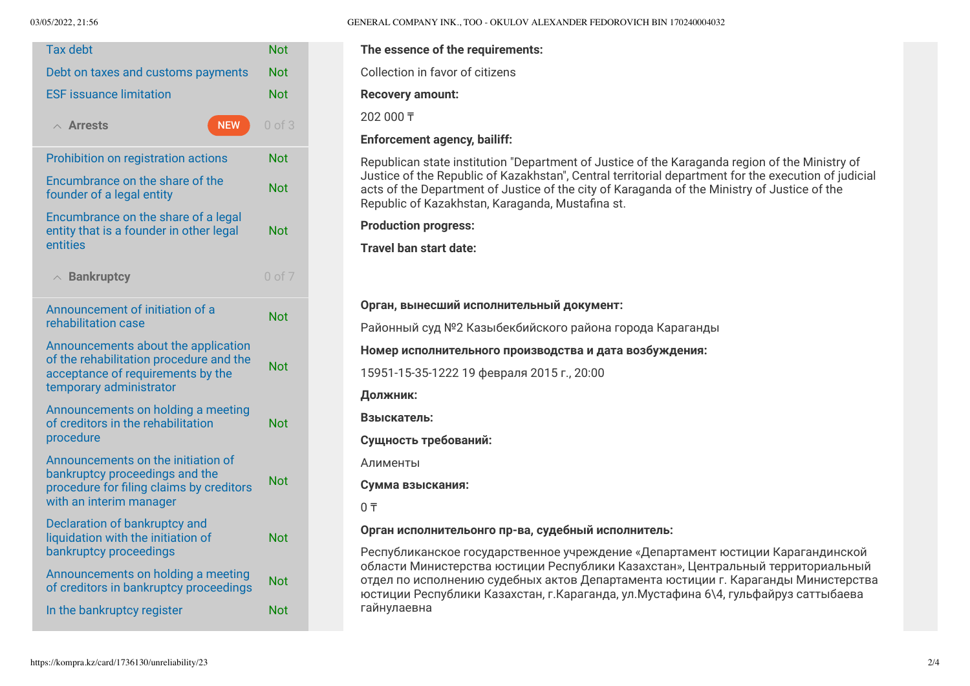| <b>Tax debt</b>                                                                                                                                | <b>Not</b> |
|------------------------------------------------------------------------------------------------------------------------------------------------|------------|
| Debt on taxes and customs payments                                                                                                             | Not        |
| <b>ESF</b> issuance limitation                                                                                                                 | Not        |
| <b>NEW</b><br>$\land$ Arrests                                                                                                                  | $0$ of $3$ |
| Prohibition on registration actions                                                                                                            | Not        |
| Encumbrance on the share of the<br>founder of a legal entity                                                                                   | Not        |
| Encumbrance on the share of a legal<br>entity that is a founder in other legal<br>entities                                                     | Not        |
| $\wedge$ Bankruptcy                                                                                                                            | $0$ of $7$ |
| Announcement of initiation of a<br>rehabilitation case                                                                                         | Not        |
| Announcements about the application<br>of the rehabilitation procedure and the<br>acceptance of requirements by the<br>temporary administrator | Not        |
| Announcements on holding a meeting<br>of creditors in the rehabilitation<br>procedure                                                          | Not        |
| Announcements on the initiation of<br>bankruptcy proceedings and the<br>procedure for filing claims by creditors<br>with an interim manager    | Not        |
| Declaration of bankruptcy and<br>liquidation with the initiation of<br>bankruptcy proceedings                                                  | Not        |
| Announcements on holding a meeting<br>of creditors in bankruptcy proceedings                                                                   | Not        |
| In the bankruptcy register                                                                                                                     | <b>Not</b> |

03/05/2022, 21:56 GENERAL COMPANY INK., TOO - OKULOV ALEXANDER FEDOROVICH BIN 170240004032

#### **The essence of the requirements:**

Collection in favor of citizens

**Recovery amount:**

202 000 ₸

**Enforcement agency, bailiff:**

Republican state institution "Department of Justice of the Karaganda region of the Ministry of Justice of the Republic of Kazakhstan", Central territorial department for the execution of judicial acts of the Department of Justice of the city of Karaganda of the Ministry of Justice of the Republic of Kazakhstan, Karaganda, Mustafina st.

**Production progress:**

**Travel ban start date:**

#### **Орган, вынесший исполнительный документ:**

Районный суд №2 Казыбекбийского района города Караганды

### **Номер исполнительного производства и дата возбуждения:**

15951-15-35-1222 19 февраля 2015 г., 20:00

**Должник:**

**Взыскатель:**

**Сущность требований:**

Алименты

**Сумма взыскания:**

 $0 \overline{\tau}$ 

#### **Орган исполнительонго пр-ва, судебный исполнитель:**

Республиканское государственное учреждение «Департамент юстиции Карагандинской области Министерства юстиции Республики Казахстан», Центральный территориальный отдел по исполнению судебных актов Департамента юстиции г. Караганды Министерства юстиции Республики Казахстан, г.Караганда, ул.Мустафина 6\4, гульфайруз саттыбаева гайнулаевна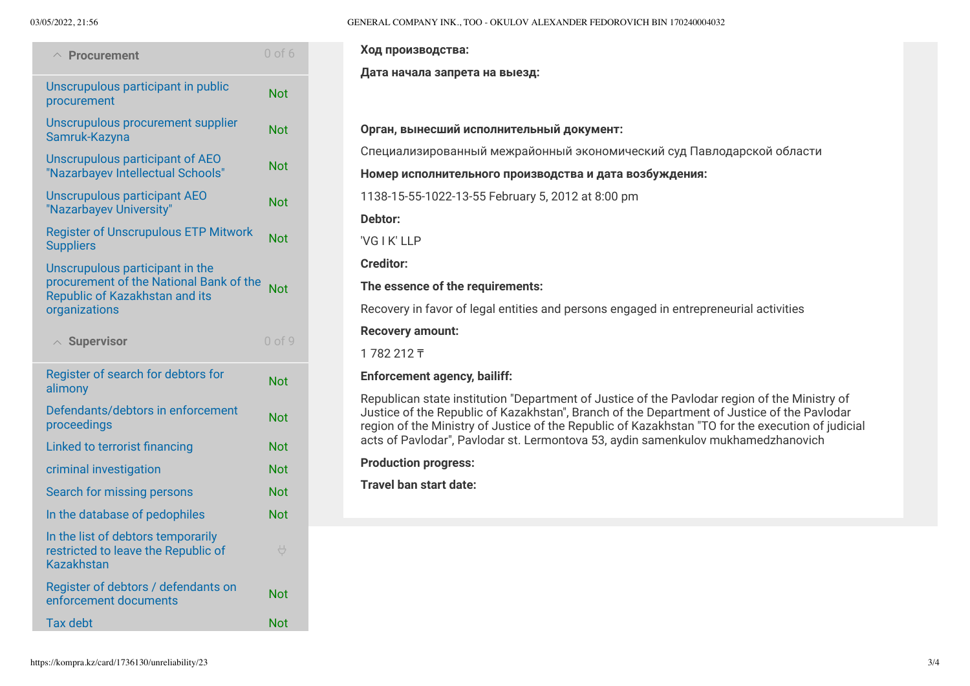| $\wedge$ Procurement                                                                                                          | $0$ of $6$                         |
|-------------------------------------------------------------------------------------------------------------------------------|------------------------------------|
| Unscrupulous participant in public<br>procurement                                                                             | Not                                |
| Unscrupulous procurement supplier<br>Samruk-Kazyna                                                                            | Not                                |
| Unscrupulous participant of AEO<br>"Nazarbayev Intellectual Schools"                                                          | Not                                |
| <b>Unscrupulous participant AEO</b><br>"Nazarbayev University"                                                                | Not                                |
| <b>Register of Unscrupulous ETP Mitwork</b><br><b>Suppliers</b>                                                               | Not                                |
| Unscrupulous participant in the<br>procurement of the National Bank of the<br>Republic of Kazakhstan and its<br>organizations | <b>Not</b>                         |
| $\land$ Supervisor                                                                                                            | $0$ of $9$                         |
| Register of search for debtors for<br>alimony                                                                                 | Not                                |
| Defendants/debtors in enforcement<br>proceedings                                                                              | <b>Not</b>                         |
| Linked to terrorist financing                                                                                                 | Not                                |
| criminal investigation                                                                                                        | Not                                |
| Search for missing persons                                                                                                    | Not                                |
| In the database of pedophiles                                                                                                 | <b>Not</b>                         |
| In the list of debtors temporarily<br>restricted to leave the Republic of<br><b>Kazakhstan</b>                                | $\overline{\overline{\mathbb{U}}}$ |
| Register of debtors / defendants on                                                                                           |                                    |
| enforcement documents                                                                                                         | Not                                |

#### 03/05/2022, 21:56 GENERAL COMPANY INK., TOO - OKULOV ALEXANDER FEDOROVICH BIN 170240004032

**Ход производства:**

**Дата начала запрета на выезд:**

#### **Орган, вынесший исполнительный документ:**

Специализированный межрайонный экономический суд Павлодарской области

#### **Номер исполнительного производства и дата возбуждения:**

1138-15-55-1022-13-55 February 5, 2012 at 8:00 pm

**Debtor:**

'VG I K' LLP

**Creditor:**

### **The essence of the requirements:**

Recovery in favor of legal entities and persons engaged in entrepreneurial activities

### **Recovery amount:**

1 782 212 ₸

## **Enforcement agency, bailiff:**

Republican state institution "Department of Justice of the Pavlodar region of the Ministry of Justice of the Republic of Kazakhstan", Branch of the Department of Justice of the Pavlodar region of the Ministry of Justice of the Republic of Kazakhstan "TO for the execution of judicial acts of Pavlodar", Pavlodar st. Lermontova 53, aydin samenkulov mukhamedzhanovich

**Production progress:**

**Travel ban start date:**